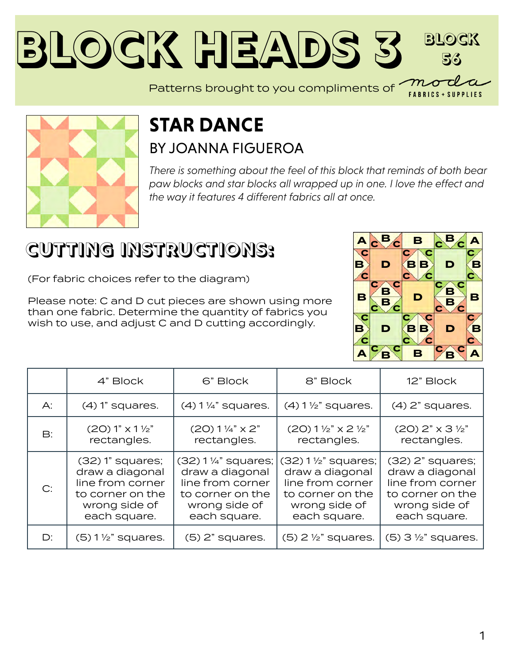#### **Block Heads [3](https://modafabrics.com) Block 56** Patterns brought to you compliments of *mo*



#### **STAR DANCE** BY [JOANNA FIGUEROA](https://modafabrics.com/designers/fig-tree-co)

*There is something about the feel of this block that reminds of both bear paw blocks and star blocks all wrapped up in one. I love the effect and the way it features 4 different fabrics all at once.*

# **CUTTING INSTRUCTIONS:**

(For fabric choices refer to the diagram)

Please note: C and D cut pieces are shown using more than one fabric. Determine the quantity of fabrics you wish to use, and adjust C and D cutting accordingly.



**FABRICS + SUPPLIES** 

|                | 4" Block                                                                                                       | 6" Block                                                                                                         | 8" Block                                                                                                                 | 12" Block                                                                                                      |
|----------------|----------------------------------------------------------------------------------------------------------------|------------------------------------------------------------------------------------------------------------------|--------------------------------------------------------------------------------------------------------------------------|----------------------------------------------------------------------------------------------------------------|
| $A$ :          | $(4)$ 1" squares.                                                                                              | $(4)$ 1 $\frac{1}{4}$ " squares.                                                                                 | $(4)$ 1 $\frac{1}{2}$ " squares.                                                                                         | $(4)$ 2" squares.                                                                                              |
| $\mathsf{B}$ : | (20) 1" x 1 <sup>1</sup> / <sub>2</sub> "<br>rectangles.                                                       | $(20)$ 1 $\frac{1}{4}$ " x 2"<br>rectangles.                                                                     | $(20)$ 1 $\frac{1}{2}$ " x 2 $\frac{1}{2}$ "<br>rectangles.                                                              | $(20)$ 2" $\times$ 3 $\frac{1}{2}$ "<br>rectangles.                                                            |
| C:             | $(32)$ 1" squares;<br>draw a diagonal<br>line from corner<br>to corner on the<br>wrong side of<br>each square. | $(32)$ 1 ¼" squares;<br>draw a diagonal<br>line from corner<br>to corner on the<br>wrong side of<br>each square. | $(32) 1\frac{1}{2}$ squares;<br>draw a diagonal<br>line from corner<br>to corner on the<br>wrong side of<br>each square. | $(32)$ 2" squares;<br>draw a diagonal<br>line from corner<br>to corner on the<br>wrong side of<br>each square. |
| $D$ :          | $(5)$ 1 $\frac{1}{2}$ " squares.                                                                               | $(5)$ 2" squares.                                                                                                | $(5)$ 2 $\frac{1}{2}$ " squares.                                                                                         | $(5)$ 3 $\frac{1}{2}$ " squares.                                                                               |